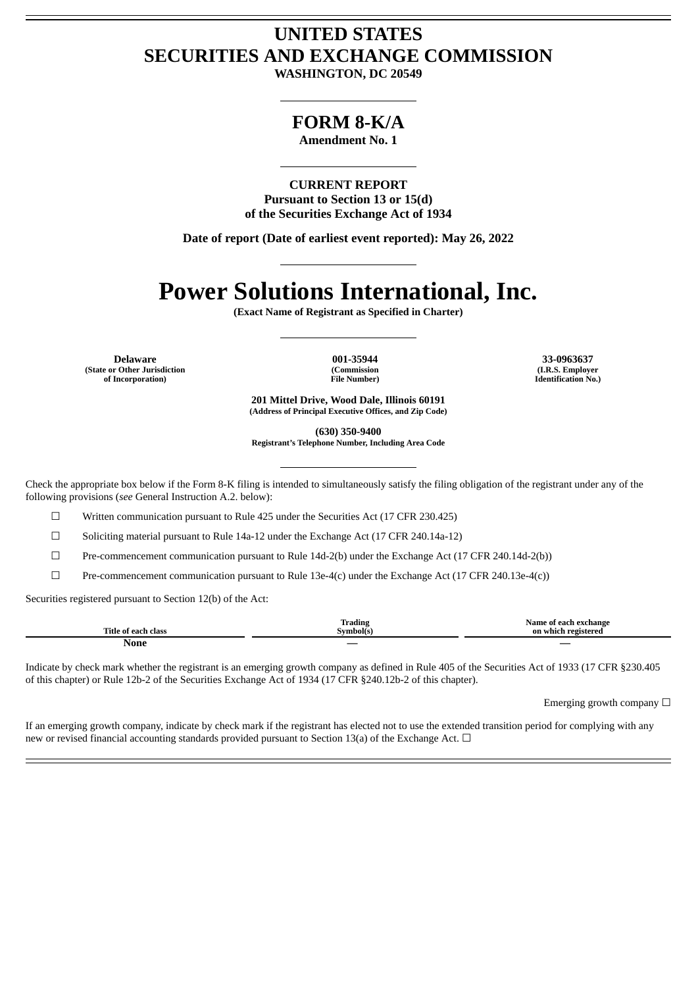## **UNITED STATES SECURITIES AND EXCHANGE COMMISSION**

**WASHINGTON, DC 20549**

### **FORM 8-K/A**

**Amendment No. 1**

**CURRENT REPORT Pursuant to Section 13 or 15(d) of the Securities Exchange Act of 1934**

**Date of report (Date of earliest event reported): May 26, 2022**

# **Power Solutions International, Inc.**

**(Exact Name of Registrant as Specified in Charter)**

**Delaware 001-35944 33-0963637 (State or Other Jurisdiction of Incorporation)**

**(Commission File Number)**

**(I.R.S. Employer Identification No.)**

**201 Mittel Drive, Wood Dale, Illinois 60191 (Address of Principal Executive Offices, and Zip Code)**

**(630) 350-9400**

**Registrant's Telephone Number, Including Area Code**

Check the appropriate box below if the Form 8-K filing is intended to simultaneously satisfy the filing obligation of the registrant under any of the following provisions (*see* General Instruction A.2. below):

☐ Written communication pursuant to Rule 425 under the Securities Act (17 CFR 230.425)

☐ Soliciting material pursuant to Rule 14a-12 under the Exchange Act (17 CFR 240.14a-12)

☐ Pre-commencement communication pursuant to Rule 14d-2(b) under the Exchange Act (17 CFR 240.14d-2(b))

 $\Box$  Pre-commencement communication pursuant to Rule 13e-4(c) under the Exchange Act (17 CFR 240.13e-4(c))

Securities registered pursuant to Section 12(b) of the Act:

| Title of each <b>、</b><br>class | œ<br>Trading<br>Symhol <i>(e</i> | Name of each exchange<br>nn<br>yhich registered- |
|---------------------------------|----------------------------------|--------------------------------------------------|
| None                            |                                  | $\overline{\phantom{a}}$                         |

Indicate by check mark whether the registrant is an emerging growth company as defined in Rule 405 of the Securities Act of 1933 (17 CFR §230.405 of this chapter) or Rule 12b-2 of the Securities Exchange Act of 1934 (17 CFR §240.12b-2 of this chapter).

Emerging growth company  $\Box$ 

If an emerging growth company, indicate by check mark if the registrant has elected not to use the extended transition period for complying with any new or revised financial accounting standards provided pursuant to Section 13(a) of the Exchange Act.  $\Box$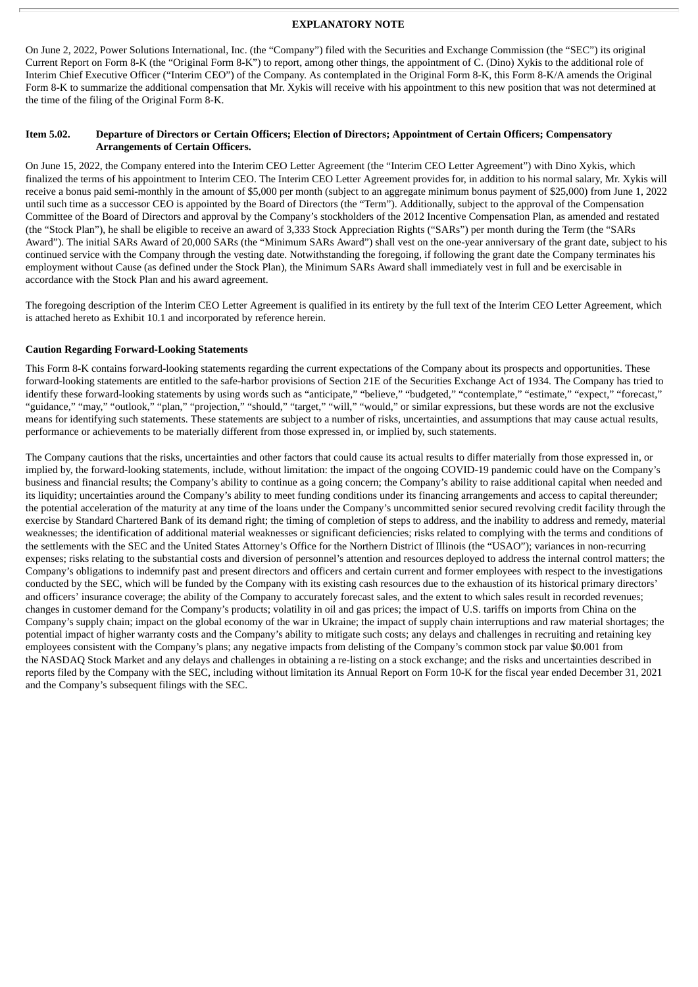#### **EXPLANATORY NOTE**

On June 2, 2022, Power Solutions International, Inc. (the "Company") filed with the Securities and Exchange Commission (the "SEC") its original Current Report on Form 8-K (the "Original Form 8-K") to report, among other things, the appointment of C. (Dino) Xykis to the additional role of Interim Chief Executive Officer ("Interim CEO") of the Company. As contemplated in the Original Form 8-K, this Form 8-K/A amends the Original Form 8-K to summarize the additional compensation that Mr. Xykis will receive with his appointment to this new position that was not determined at the time of the filing of the Original Form 8-K.

#### Item 5.02. Departure of Directors or Certain Officers; Election of Directors; Appointment of Certain Officers; Compensatory **Arrangements of Certain Officers.**

On June 15, 2022, the Company entered into the Interim CEO Letter Agreement (the "Interim CEO Letter Agreement") with Dino Xykis, which finalized the terms of his appointment to Interim CEO. The Interim CEO Letter Agreement provides for, in addition to his normal salary, Mr. Xykis will receive a bonus paid semi-monthly in the amount of \$5,000 per month (subject to an aggregate minimum bonus payment of \$25,000) from June 1, 2022 until such time as a successor CEO is appointed by the Board of Directors (the "Term"). Additionally, subject to the approval of the Compensation Committee of the Board of Directors and approval by the Company's stockholders of the 2012 Incentive Compensation Plan, as amended and restated (the "Stock Plan"), he shall be eligible to receive an award of 3,333 Stock Appreciation Rights ("SARs") per month during the Term (the "SARs Award"). The initial SARs Award of 20,000 SARs (the "Minimum SARs Award") shall vest on the one-year anniversary of the grant date, subject to his continued service with the Company through the vesting date. Notwithstanding the foregoing, if following the grant date the Company terminates his employment without Cause (as defined under the Stock Plan), the Minimum SARs Award shall immediately vest in full and be exercisable in accordance with the Stock Plan and his award agreement.

The foregoing description of the Interim CEO Letter Agreement is qualified in its entirety by the full text of the Interim CEO Letter Agreement, which is attached hereto as Exhibit 10.1 and incorporated by reference herein.

#### **Caution Regarding Forward-Looking Statements**

This Form 8-K contains forward-looking statements regarding the current expectations of the Company about its prospects and opportunities. These forward-looking statements are entitled to the safe-harbor provisions of Section 21E of the Securities Exchange Act of 1934. The Company has tried to identify these forward-looking statements by using words such as "anticipate," "believe," "budgeted," "contemplate," "estimate," "expect," "forecast," "guidance," "may," "outlook," "plan," "projection," "should," "target," "will," "would," or similar expressions, but these words are not the exclusive means for identifying such statements. These statements are subject to a number of risks, uncertainties, and assumptions that may cause actual results, performance or achievements to be materially different from those expressed in, or implied by, such statements.

The Company cautions that the risks, uncertainties and other factors that could cause its actual results to differ materially from those expressed in, or implied by, the forward-looking statements, include, without limitation: the impact of the ongoing COVID-19 pandemic could have on the Company's business and financial results; the Company's ability to continue as a going concern; the Company's ability to raise additional capital when needed and its liquidity; uncertainties around the Company's ability to meet funding conditions under its financing arrangements and access to capital thereunder; the potential acceleration of the maturity at any time of the loans under the Company's uncommitted senior secured revolving credit facility through the exercise by Standard Chartered Bank of its demand right; the timing of completion of steps to address, and the inability to address and remedy, material weaknesses; the identification of additional material weaknesses or significant deficiencies; risks related to complying with the terms and conditions of the settlements with the SEC and the United States Attorney's Office for the Northern District of Illinois (the "USAO"); variances in non-recurring expenses; risks relating to the substantial costs and diversion of personnel's attention and resources deployed to address the internal control matters; the Company's obligations to indemnify past and present directors and officers and certain current and former employees with respect to the investigations conducted by the SEC, which will be funded by the Company with its existing cash resources due to the exhaustion of its historical primary directors' and officers' insurance coverage; the ability of the Company to accurately forecast sales, and the extent to which sales result in recorded revenues; changes in customer demand for the Company's products; volatility in oil and gas prices; the impact of U.S. tariffs on imports from China on the Company's supply chain; impact on the global economy of the war in Ukraine; the impact of supply chain interruptions and raw material shortages; the potential impact of higher warranty costs and the Company's ability to mitigate such costs; any delays and challenges in recruiting and retaining key employees consistent with the Company's plans; any negative impacts from delisting of the Company's common stock par value \$0.001 from the NASDAQ Stock Market and any delays and challenges in obtaining a re-listing on a stock exchange; and the risks and uncertainties described in reports filed by the Company with the SEC, including without limitation its Annual Report on Form 10-K for the fiscal year ended December 31, 2021 and the Company's subsequent filings with the SEC.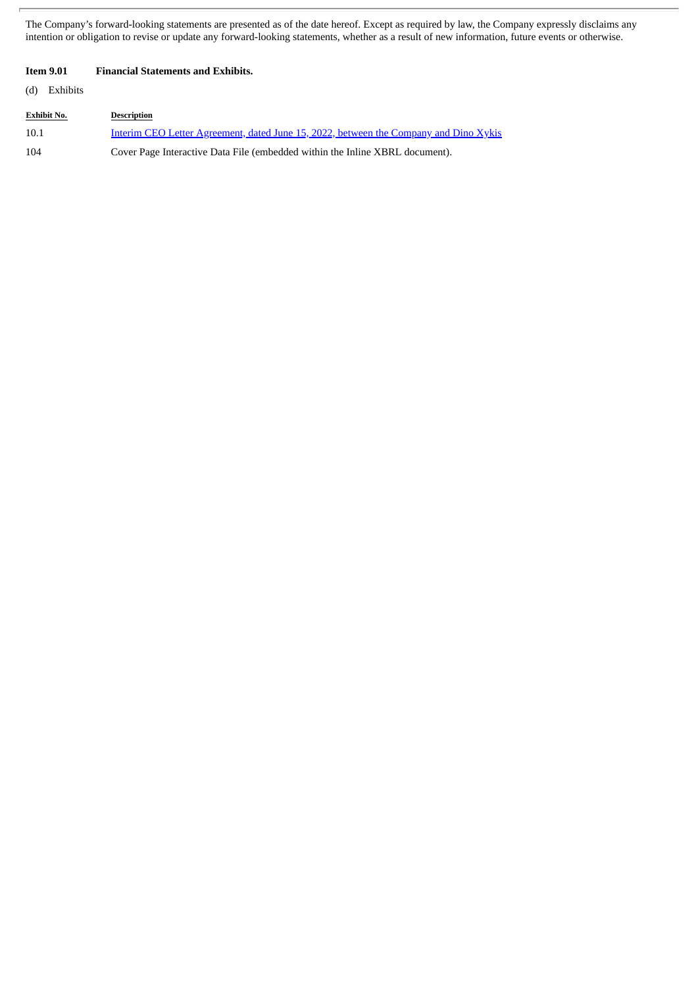The Company's forward-looking statements are presented as of the date hereof. Except as required by law, the Company expressly disclaims any intention or obligation to revise or update any forward-looking statements, whether as a result of new information, future events or otherwise.

#### **Item 9.01 Financial Statements and Exhibits.**

(d) Exhibits

| Exhibit No. | <b>Description</b>                                                                           |
|-------------|----------------------------------------------------------------------------------------------|
| 10.1        | <u>Interim CEO Letter Agreement, dated June 15, 2022, between the Company and Dino Xykis</u> |
| 104         | Cover Page Interactive Data File (embedded within the Inline XBRL document).                 |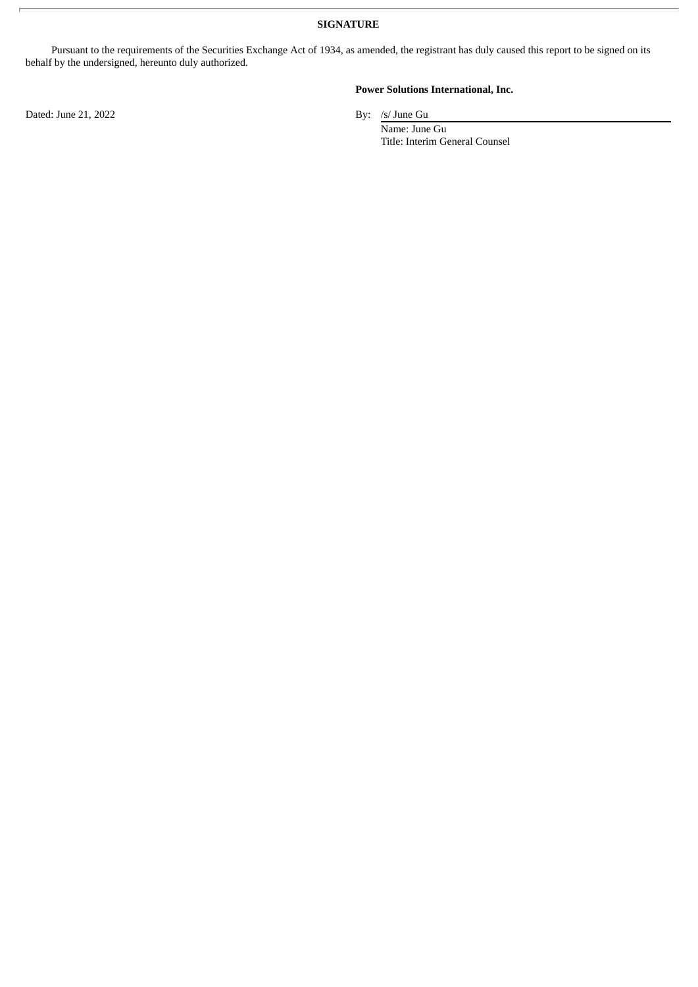**SIGNATURE**

Pursuant to the requirements of the Securities Exchange Act of 1934, as amended, the registrant has duly caused this report to be signed on its behalf by the undersigned, hereunto duly authorized.

Dated: June 21, 2022 By: /s/ June Gu

#### **Power Solutions International, Inc.**

Name: June Gu Title: Interim General Counsel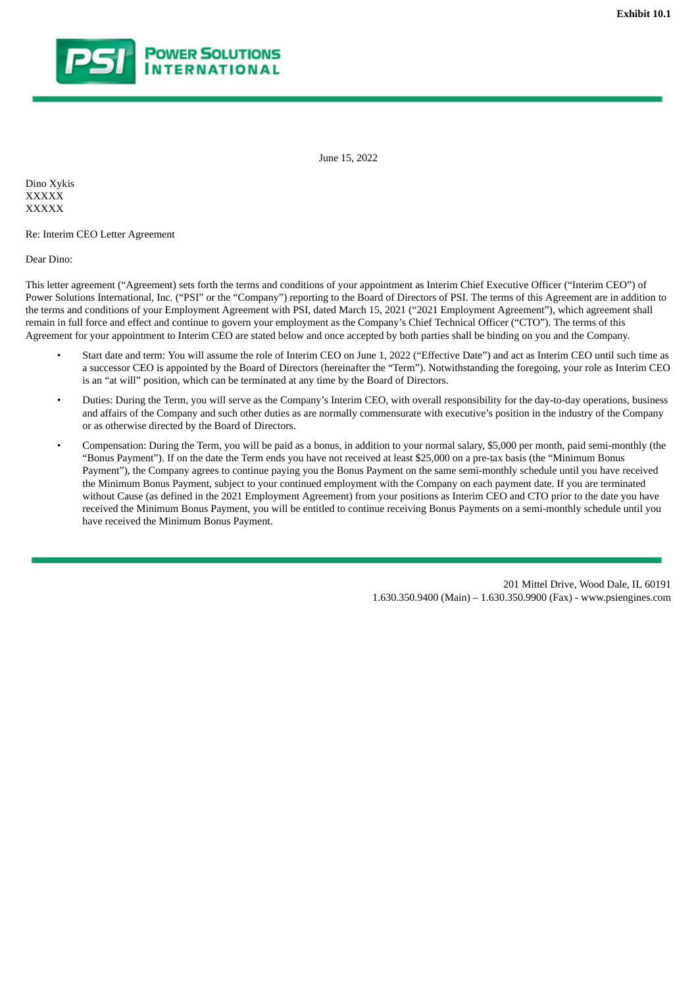<span id="page-4-0"></span>

June 15, 2022

Dino Xykis XXXXX XXXXX

Re: Interim CEO Letter Agreement

Dear Dino:

This letter agreement ("Agreement) sets forth the terms and conditions of your appointment as Interim Chief Executive Officer ("Interim CEO") of Power Solutions International, Inc. ("PSI" or the "Company") reporting to the Board of Directors of PSI. The terms of this Agreement are in addition to the terms and conditions of your Employment Agreement with PSI, dated March 15, 2021 ("2021 Employment Agreement"), which agreement shall remain in full force and effect and continue to govern your employment as the Company's Chief Technical Officer ("CTO"). The terms of this Agreement for your appointment to Interim CEO are stated below and once accepted by both parties shall be binding on you and the Company.

- Start date and term: You will assume the role of Interim CEO on June 1, 2022 ("Effective Date") and act as Interim CEO until such time as a successor CEO is appointed by the Board of Directors (hereinafter the "Term"). Notwithstanding the foregoing, your role as Interim CEO is an "at will" position, which can be terminated at any time by the Board of Directors.
- Duties: During the Term, you will serve as the Company's Interim CEO, with overall responsibility for the day-to-day operations, business and affairs of the Company and such other duties as are normally commensurate with executive's position in the industry of the Company or as otherwise directed by the Board of Directors.
- Compensation: During the Term, you will be paid as a bonus, in addition to your normal salary, \$5,000 per month, paid semi-monthly (the "Bonus Payment"). If on the date the Term ends you have not received at least \$25,000 on a pre-tax basis (the "Minimum Bonus Payment"), the Company agrees to continue paying you the Bonus Payment on the same semi-monthly schedule until you have received the Minimum Bonus Payment, subject to your continued employment with the Company on each payment date. If you are terminated without Cause (as defined in the 2021 Employment Agreement) from your positions as Interim CEO and CTO prior to the date you have received the Minimum Bonus Payment, you will be entitled to continue receiving Bonus Payments on a semi-monthly schedule until you have received the Minimum Bonus Payment.

201 Mittel Drive, Wood Dale, IL 60191 1.630.350.9400 (Main) – 1.630.350.9900 (Fax) - www.psiengines.com